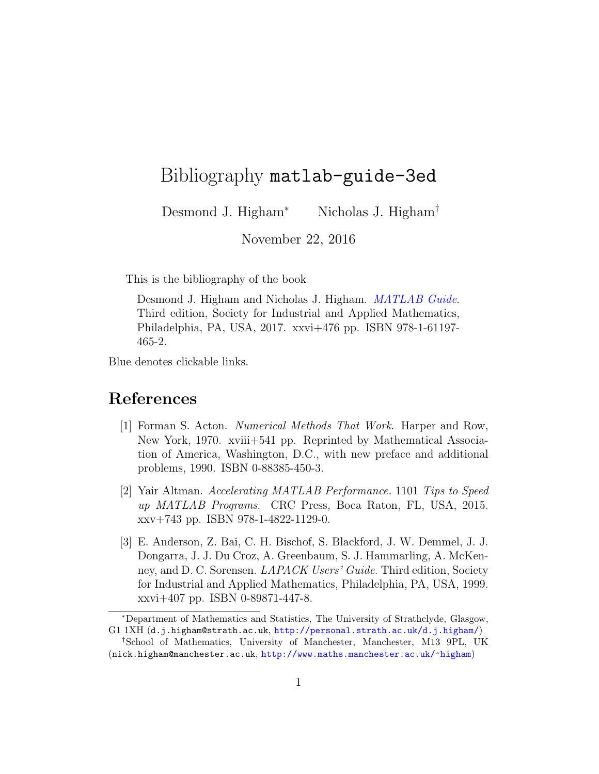## Bibliography matlab-guide-3ed

Desmond J. Higham<sup>∗</sup> Nicholas J. Higham<sup>†</sup>

November 22, 2016

This is the bibliography of the book

Desmond J. Higham and Nicholas J. Higham. *[MATLAB Guide](http://www.maths.manchester.ac.uk/~higham/mg/index.php)*. Third edition, Society for Industrial and Applied Mathematics, Philadelphia, PA, USA, 2017. xxvi+476 pp. ISBN 978-1-61197- 465-2.

Blue denotes clickable links.

## References

- [1] Forman S. Acton. Numerical Methods That Work. Harper and Row, New York, 1970. xviii+541 pp. Reprinted by Mathematical Association of America, Washington, D.C., with new preface and additional problems, 1990. ISBN 0-88385-450-3.
- [2] Yair Altman. Accelerating MATLAB Performance. 1101 Tips to Speed up MATLAB Programs. CRC Press, Boca Raton, FL, USA, 2015. xxv+743 pp. ISBN 978-1-4822-1129-0.
- [3] E. Anderson, Z. Bai, C. H. Bischof, S. Blackford, J. W. Demmel, J. J. Dongarra, J. J. Du Croz, A. Greenbaum, S. J. Hammarling, A. McKenney, and D. C. Sorensen. LAPACK Users' Guide. Third edition, Society for Industrial and Applied Mathematics, Philadelphia, PA, USA, 1999. xxvi+407 pp. ISBN 0-89871-447-8.

<sup>∗</sup>Department of Mathematics and Statistics, The University of Strathclyde, Glasgow, G1 1XH (d.j.higham@strath.ac.uk, <http://personal.strath.ac.uk/d.j.higham/>)

<sup>†</sup>School of Mathematics, University of Manchester, Manchester, M13 9PL, UK (nick.higham@manchester.ac.uk, <http://www.maths.manchester.ac.uk/~higham>)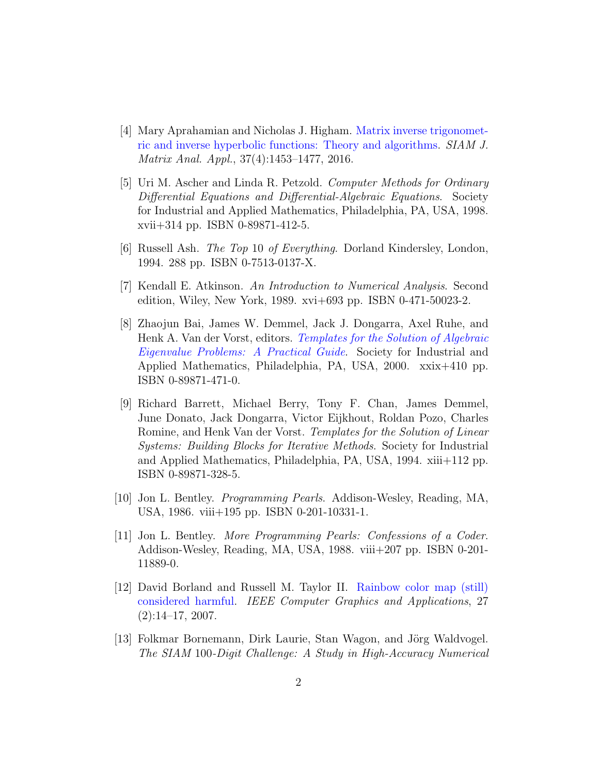- [4] Mary Aprahamian and Nicholas J. Higham. [Matrix inverse trigonomet](https://doi.org/10.1137/16M1057577)[ric and inverse hyperbolic functions: Theory and algorithms.](https://doi.org/10.1137/16M1057577) SIAM J. Matrix Anal. Appl., 37(4):1453–1477, 2016.
- [5] Uri M. Ascher and Linda R. Petzold. Computer Methods for Ordinary Differential Equations and Differential-Algebraic Equations. Society for Industrial and Applied Mathematics, Philadelphia, PA, USA, 1998. xvii+314 pp. ISBN 0-89871-412-5.
- [6] Russell Ash. The Top 10 of Everything. Dorland Kindersley, London, 1994. 288 pp. ISBN 0-7513-0137-X.
- [7] Kendall E. Atkinson. An Introduction to Numerical Analysis. Second edition, Wiley, New York, 1989. xvi+693 pp. ISBN 0-471-50023-2.
- [8] Zhaojun Bai, James W. Demmel, Jack J. Dongarra, Axel Ruhe, and Henk A. Van der Vorst, editors. [Templates for the Solution of Algebraic](http://dx.doi.org/10.1137/1.9780898719581) [Eigenvalue Problems: A Practical Guide](http://dx.doi.org/10.1137/1.9780898719581). Society for Industrial and Applied Mathematics, Philadelphia, PA, USA, 2000. xxix+410 pp. ISBN 0-89871-471-0.
- [9] Richard Barrett, Michael Berry, Tony F. Chan, James Demmel, June Donato, Jack Dongarra, Victor Eijkhout, Roldan Pozo, Charles Romine, and Henk Van der Vorst. Templates for the Solution of Linear Systems: Building Blocks for Iterative Methods. Society for Industrial and Applied Mathematics, Philadelphia, PA, USA, 1994. xiii+112 pp. ISBN 0-89871-328-5.
- [10] Jon L. Bentley. Programming Pearls. Addison-Wesley, Reading, MA, USA, 1986. viii+195 pp. ISBN 0-201-10331-1.
- [11] Jon L. Bentley. More Programming Pearls: Confessions of a Coder. Addison-Wesley, Reading, MA, USA, 1988. viii+207 pp. ISBN 0-201- 11889-0.
- [12] David Borland and Russell M. Taylor II. [Rainbow color map \(still\)](https://doi.org/10.1109/MCG.2007.323435) [considered harmful.](https://doi.org/10.1109/MCG.2007.323435) IEEE Computer Graphics and Applications, 27 (2):14–17, 2007.
- [13] Folkmar Bornemann, Dirk Laurie, Stan Wagon, and Jörg Waldvogel. The SIAM 100-Digit Challenge: A Study in High-Accuracy Numerical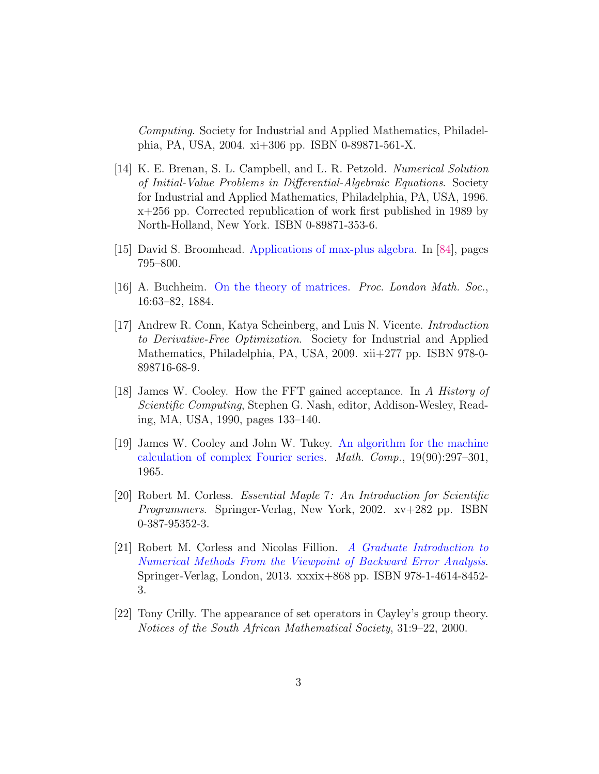Computing. Society for Industrial and Applied Mathematics, Philadelphia, PA, USA, 2004. xi+306 pp. ISBN 0-89871-561-X.

- [14] K. E. Brenan, S. L. Campbell, and L. R. Petzold. Numerical Solution of Initial-Value Problems in Differential-Algebraic Equations. Society for Industrial and Applied Mathematics, Philadelphia, PA, USA, 1996. x+256 pp. Corrected republication of work first published in 1989 by North-Holland, New York. ISBN 0-89871-353-6.
- [15] David S. Broomhead. [Applications of max-plus algebra.](http://press.princeton.edu/titles/10592.html) In [\[84\]](#page-8-0), pages 795–800.
- [16] A. Buchheim. [On the theory of matrices.](https://doi.org/10.1112/plms/s1-16.1.63) Proc. London Math. Soc., 16:63–82, 1884.
- [17] Andrew R. Conn, Katya Scheinberg, and Luis N. Vicente. Introduction to Derivative-Free Optimization. Society for Industrial and Applied Mathematics, Philadelphia, PA, USA, 2009. xii+277 pp. ISBN 978-0- 898716-68-9.
- [18] James W. Cooley. How the FFT gained acceptance. In A History of Scientific Computing, Stephen G. Nash, editor, Addison-Wesley, Reading, MA, USA, 1990, pages 133–140.
- [19] James W. Cooley and John W. Tukey. [An algorithm for the machine](https://doi.org/10.1090/S0025-5718-1965-0178586-1) [calculation of complex Fourier series.](https://doi.org/10.1090/S0025-5718-1965-0178586-1) Math. Comp., 19(90):297–301, 1965.
- [20] Robert M. Corless. Essential Maple 7: An Introduction for Scientific Programmers. Springer-Verlag, New York, 2002. xv+282 pp. ISBN 0-387-95352-3.
- [21] Robert M. Corless and Nicolas Fillion. [A Graduate Introduction to](http://dx.doi.org/10.1007/978-1-4614-8453-0) [Numerical Methods From the Viewpoint of Backward Error Analysis](http://dx.doi.org/10.1007/978-1-4614-8453-0). Springer-Verlag, London, 2013. xxxix+868 pp. ISBN 978-1-4614-8452- 3.
- [22] Tony Crilly. The appearance of set operators in Cayley's group theory. Notices of the South African Mathematical Society, 31:9–22, 2000.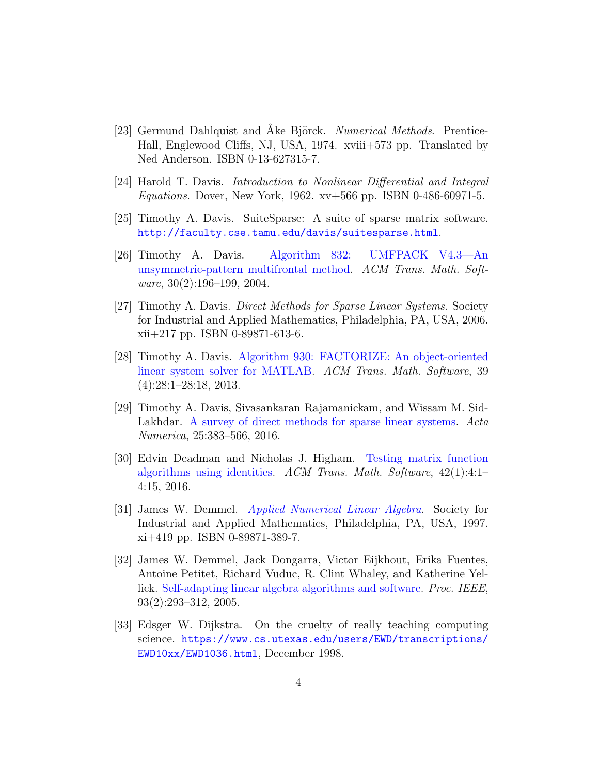- [23] Germund Dahlquist and Åke Björck. Numerical Methods. Prentice-Hall, Englewood Cliffs, NJ, USA, 1974. xviii+573 pp. Translated by Ned Anderson. ISBN 0-13-627315-7.
- [24] Harold T. Davis. Introduction to Nonlinear Differential and Integral Equations. Dover, New York, 1962. xv+566 pp. ISBN 0-486-60971-5.
- [25] Timothy A. Davis. SuiteSparse: A suite of sparse matrix software. <http://faculty.cse.tamu.edu/davis/suitesparse.html>.
- [26] Timothy A. Davis. [Algorithm 832: UMFPACK V4.3—An](https://doi.org/10.1145/992200.992206) [unsymmetric-pattern multifrontal method.](https://doi.org/10.1145/992200.992206) ACM Trans. Math. Software,  $30(2):196-199$ ,  $2004$ .
- [27] Timothy A. Davis. Direct Methods for Sparse Linear Systems. Society for Industrial and Applied Mathematics, Philadelphia, PA, USA, 2006. xii+217 pp. ISBN 0-89871-613-6.
- [28] Timothy A. Davis. [Algorithm 930: FACTORIZE: An object-oriented](https://doi.org/10.1145/2491491.2491498) [linear system solver for MATLAB.](https://doi.org/10.1145/2491491.2491498) ACM Trans. Math. Software, 39 (4):28:1–28:18, 2013.
- [29] Timothy A. Davis, Sivasankaran Rajamanickam, and Wissam M. Sid-Lakhdar. [A survey of direct methods for sparse linear systems.](https://doi.org/10.1017/S0962492916000076) Acta Numerica, 25:383–566, 2016.
- [30] Edvin Deadman and Nicholas J. Higham. [Testing matrix function](https://doi.org/10.1145/2723157) [algorithms using identities.](https://doi.org/10.1145/2723157) ACM Trans. Math. Software, 42(1):4:1– 4:15, 2016.
- [31] James W. Demmel. [Applied Numerical Linear Algebra](http://dx.doi.org/10.1137/1.9781611971446). Society for Industrial and Applied Mathematics, Philadelphia, PA, USA, 1997. xi+419 pp. ISBN 0-89871-389-7.
- [32] James W. Demmel, Jack Dongarra, Victor Eijkhout, Erika Fuentes, Antoine Petitet, Richard Vuduc, R. Clint Whaley, and Katherine Yel-lick. [Self-adapting linear algebra algorithms and software.](https://doi.org/10.1109/JPROC.2004.840848) *Proc. IEEE*, 93(2):293–312, 2005.
- [33] Edsger W. Dijkstra. On the cruelty of really teaching computing science. [https://www.cs.utexas.edu/users/EWD/transcriptions/](https://www.cs.utexas.edu/users/EWD/transcriptions/EWD10xx/EWD1036.html) [EWD10xx/EWD1036.html](https://www.cs.utexas.edu/users/EWD/transcriptions/EWD10xx/EWD1036.html), December 1998.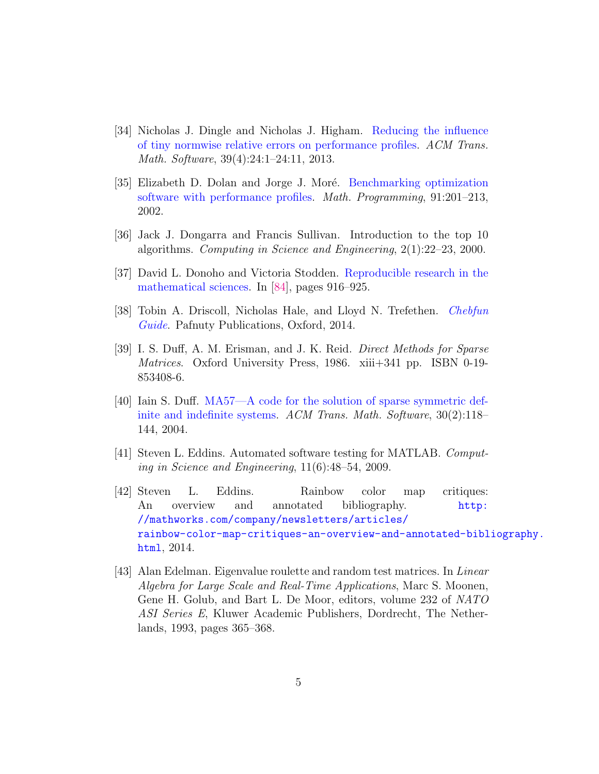- [34] Nicholas J. Dingle and Nicholas J. Higham. [Reducing the influence](https://doi.org/10.1145/2491491.2491494) [of tiny normwise relative errors on performance profiles.](https://doi.org/10.1145/2491491.2491494) ACM Trans. Math. Software, 39(4):24:1–24:11, 2013.
- [35] Elizabeth D. Dolan and Jorge J. Moré. [Benchmarking optimization](https://doi.org/10.1007/s101070100263) [software with performance profiles.](https://doi.org/10.1007/s101070100263) Math. Programming, 91:201–213, 2002.
- [36] Jack J. Dongarra and Francis Sullivan. Introduction to the top 10 algorithms. Computing in Science and Engineering, 2(1):22–23, 2000.
- [37] David L. Donoho and Victoria Stodden. [Reproducible research in the](http://press.princeton.edu/titles/10592.html) [mathematical sciences.](http://press.princeton.edu/titles/10592.html) In [\[84\]](#page-8-0), pages 916–925.
- [38] Tobin A. Driscoll, Nicholas Hale, and Lloyd N. Trefethen. [Chebfun](http://www.chebfun.org/docs/guide/) [Guide](http://www.chebfun.org/docs/guide/). Pafnuty Publications, Oxford, 2014.
- [39] I. S. Duff, A. M. Erisman, and J. K. Reid. Direct Methods for Sparse Matrices. Oxford University Press, 1986. xiii+341 pp. ISBN 0-19-853408-6.
- [40] Iain S. Duff. [MA57—A code for the solution of sparse symmetric def](https://doi.org/10.1145/992200.992202)[inite and indefinite systems.](https://doi.org/10.1145/992200.992202) ACM Trans. Math. Software, 30(2):118– 144, 2004.
- [41] Steven L. Eddins. Automated software testing for MATLAB. Computing in Science and Engineering, 11(6):48–54, 2009.
- [42] Steven L. Eddins. Rainbow color map critiques: An overview and annotated bibliography. [http:](http://mathworks.com/company/newsletters/articles/rainbow-color-map-critiques-an-overview-and-annotated-bibliography.html) [//mathworks.com/company/newsletters/articles/](http://mathworks.com/company/newsletters/articles/rainbow-color-map-critiques-an-overview-and-annotated-bibliography.html) [rainbow-color-map-critiques-an-overview-and-annotated-bibl](http://mathworks.com/company/newsletters/articles/rainbow-color-map-critiques-an-overview-and-annotated-bibliography.html)iography. [html](http://mathworks.com/company/newsletters/articles/rainbow-color-map-critiques-an-overview-and-annotated-bibliography.html), 2014.
- [43] Alan Edelman. Eigenvalue roulette and random test matrices. In *Linear* Algebra for Large Scale and Real-Time Applications, Marc S. Moonen, Gene H. Golub, and Bart L. De Moor, editors, volume 232 of NATO ASI Series E, Kluwer Academic Publishers, Dordrecht, The Netherlands, 1993, pages 365–368.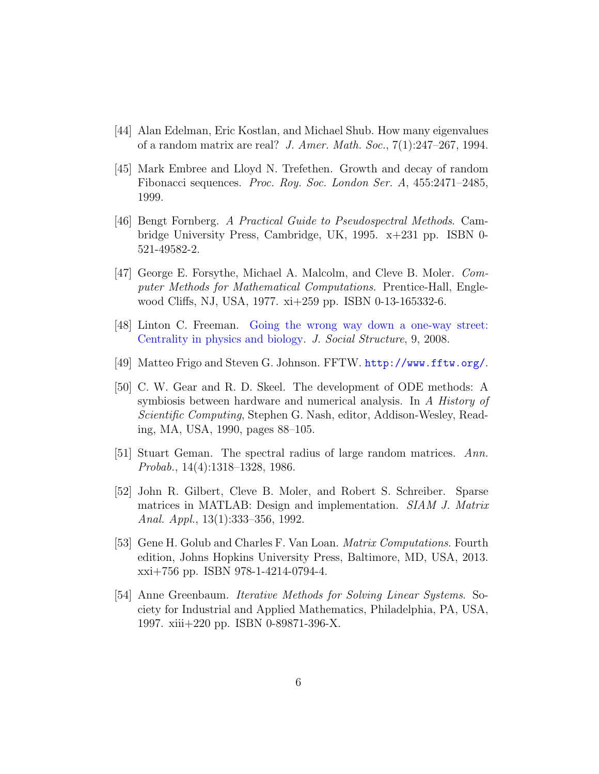- [44] Alan Edelman, Eric Kostlan, and Michael Shub. How many eigenvalues of a random matrix are real? J. Amer. Math. Soc.,  $7(1):247-267$ , 1994.
- [45] Mark Embree and Lloyd N. Trefethen. Growth and decay of random Fibonacci sequences. Proc. Roy. Soc. London Ser. A, 455:2471–2485, 1999.
- [46] Bengt Fornberg. A Practical Guide to Pseudospectral Methods. Cambridge University Press, Cambridge, UK, 1995. x+231 pp. ISBN 0- 521-49582-2.
- [47] George E. Forsythe, Michael A. Malcolm, and Cleve B. Moler. Computer Methods for Mathematical Computations. Prentice-Hall, Englewood Cliffs, NJ, USA, 1977. xi+259 pp. ISBN 0-13-165332-6.
- [48] Linton C. Freeman. [Going the wrong way down a one-way street:](https://www.cmu.edu/joss/content/articles/volume9/Freeman/) [Centrality in physics and biology.](https://www.cmu.edu/joss/content/articles/volume9/Freeman/) J. Social Structure, 9, 2008.
- [49] Matteo Frigo and Steven G. Johnson. FFTW. <http://www.fftw.org/>.
- [50] C. W. Gear and R. D. Skeel. The development of ODE methods: A symbiosis between hardware and numerical analysis. In A History of Scientific Computing, Stephen G. Nash, editor, Addison-Wesley, Reading, MA, USA, 1990, pages 88–105.
- [51] Stuart Geman. The spectral radius of large random matrices. Ann. Probab., 14(4):1318–1328, 1986.
- [52] John R. Gilbert, Cleve B. Moler, and Robert S. Schreiber. Sparse matrices in MATLAB: Design and implementation. SIAM J. Matrix Anal. Appl., 13(1):333–356, 1992.
- [53] Gene H. Golub and Charles F. Van Loan. Matrix Computations. Fourth edition, Johns Hopkins University Press, Baltimore, MD, USA, 2013. xxi+756 pp. ISBN 978-1-4214-0794-4.
- [54] Anne Greenbaum. Iterative Methods for Solving Linear Systems. Society for Industrial and Applied Mathematics, Philadelphia, PA, USA, 1997. xiii+220 pp. ISBN 0-89871-396-X.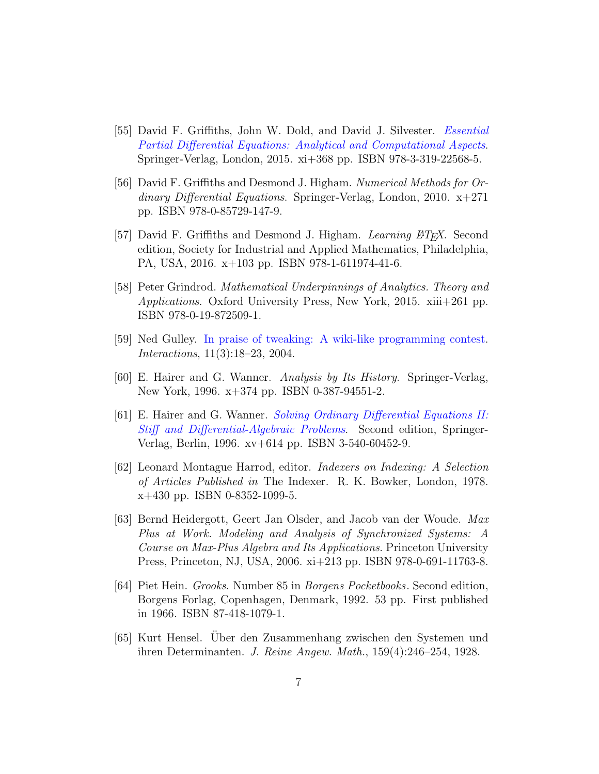- [55] David F. Griffiths, John W. Dold, and David J. Silvester. [Essential](http://dx.doi.org/10.1007/978-3-319-22569-2) [Partial Differential Equations: Analytical and Computational Aspects](http://dx.doi.org/10.1007/978-3-319-22569-2). Springer-Verlag, London, 2015. xi+368 pp. ISBN 978-3-319-22568-5.
- [56] David F. Griffiths and Desmond J. Higham. Numerical Methods for Ordinary Differential Equations. Springer-Verlag, London, 2010. x+271 pp. ISBN 978-0-85729-147-9.
- [57] David F. Griffiths and Desmond J. Higham. Learning BTFX. Second edition, Society for Industrial and Applied Mathematics, Philadelphia, PA, USA, 2016. x+103 pp. ISBN 978-1-611974-41-6.
- [58] Peter Grindrod. Mathematical Underpinnings of Analytics. Theory and Applications. Oxford University Press, New York, 2015. xiii+261 pp. ISBN 978-0-19-872509-1.
- [59] Ned Gulley. [In praise of tweaking: A wiki-like programming contest.](https://doi.org/10.1145/986253.986264) Interactions, 11(3):18–23, 2004.
- [60] E. Hairer and G. Wanner. Analysis by Its History. Springer-Verlag, New York, 1996. x+374 pp. ISBN 0-387-94551-2.
- [61] E. Hairer and G. Wanner. [Solving Ordinary Differential Equations II:](http://dx.doi.org/10.1007/978-3-642-05221-7) [Stiff and Differential-Algebraic Problems](http://dx.doi.org/10.1007/978-3-642-05221-7). Second edition, Springer-Verlag, Berlin, 1996. xv+614 pp. ISBN 3-540-60452-9.
- <span id="page-6-0"></span>[62] Leonard Montague Harrod, editor. Indexers on Indexing: A Selection of Articles Published in The Indexer. R. K. Bowker, London, 1978. x+430 pp. ISBN 0-8352-1099-5.
- [63] Bernd Heidergott, Geert Jan Olsder, and Jacob van der Woude. Max Plus at Work. Modeling and Analysis of Synchronized Systems: A Course on Max-Plus Algebra and Its Applications. Princeton University Press, Princeton, NJ, USA, 2006. xi+213 pp. ISBN 978-0-691-11763-8.
- [64] Piet Hein. Grooks. Number 85 in Borgens Pocketbooks. Second edition, Borgens Forlag, Copenhagen, Denmark, 1992. 53 pp. First published in 1966. ISBN 87-418-1079-1.
- [65] Kurt Hensel. Uber den Zusammenhang zwischen den Systemen und ¨ ihren Determinanten. J. Reine Angew. Math., 159(4):246–254, 1928.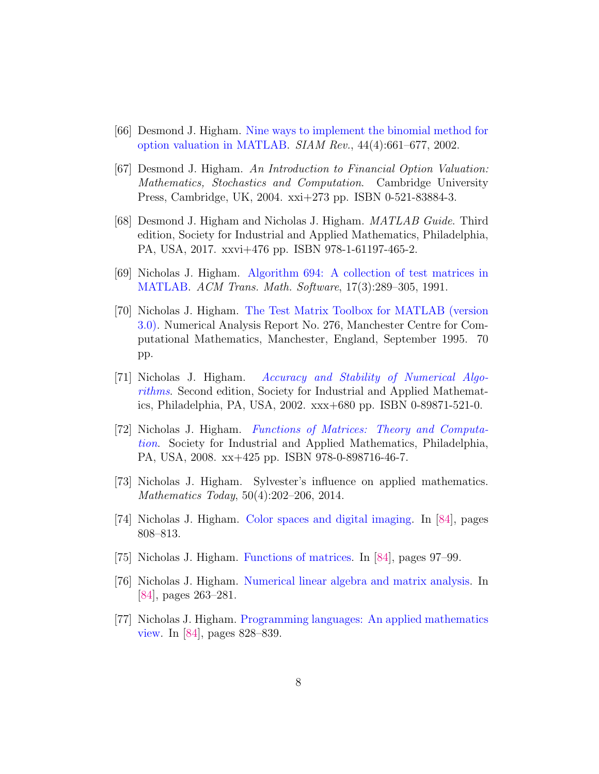- [66] Desmond J. Higham. [Nine ways to implement the binomial method for](https://doi.org/10.1137/S0036144501393266) [option valuation in MATLAB.](https://doi.org/10.1137/S0036144501393266) SIAM Rev., 44(4):661–677, 2002.
- [67] Desmond J. Higham. An Introduction to Financial Option Valuation: Mathematics, Stochastics and Computation. Cambridge University Press, Cambridge, UK, 2004. xxi+273 pp. ISBN 0-521-83884-3.
- [68] Desmond J. Higham and Nicholas J. Higham. MATLAB Guide. Third edition, Society for Industrial and Applied Mathematics, Philadelphia, PA, USA, 2017. xxvi+476 pp. ISBN 978-1-61197-465-2.
- [69] Nicholas J. Higham. [Algorithm 694: A collection of test matrices in](https://doi.org/10.1145/114697.116805) [MATLAB.](https://doi.org/10.1145/114697.116805) ACM Trans. Math. Software, 17(3):289–305, 1991.
- [70] Nicholas J. Higham. [The Test Matrix Toolbox for MATLAB \(version](http://www.maths.manchester.ac.uk/~higham/papers/high95m.pdf) [3.0\).](http://www.maths.manchester.ac.uk/~higham/papers/high95m.pdf) Numerical Analysis Report No. 276, Manchester Centre for Computational Mathematics, Manchester, England, September 1995. 70 pp.
- [71] Nicholas J. Higham. [Accuracy and Stability of Numerical Algo](http://dx.doi.org/10.1137/1.9780898718027)[rithms](http://dx.doi.org/10.1137/1.9780898718027). Second edition, Society for Industrial and Applied Mathematics, Philadelphia, PA, USA, 2002. xxx+680 pp. ISBN 0-89871-521-0.
- [72] Nicholas J. Higham. [Functions of Matrices: Theory and Computa](http://dx.doi.org/10.1137/1.9780898717778)[tion](http://dx.doi.org/10.1137/1.9780898717778). Society for Industrial and Applied Mathematics, Philadelphia, PA, USA, 2008. xx+425 pp. ISBN 978-0-898716-46-7.
- [73] Nicholas J. Higham. Sylvester's influence on applied mathematics. Mathematics Today, 50(4):202–206, 2014.
- [74] Nicholas J. Higham. [Color spaces and digital imaging.](http://press.princeton.edu/titles/10592.html) In [\[84\]](#page-8-0), pages 808–813.
- [75] Nicholas J. Higham. [Functions of matrices.](http://press.princeton.edu/titles/10592.html) In [\[84\]](#page-8-0), pages 97–99.
- [76] Nicholas J. Higham. [Numerical linear algebra and matrix analysis.](http://press.princeton.edu/titles/10592.html) In [\[84\]](#page-8-0), pages 263–281.
- [77] Nicholas J. Higham. [Programming languages: An applied mathematics](http://press.princeton.edu/titles/10592.html) [view.](http://press.princeton.edu/titles/10592.html) In [\[84\]](#page-8-0), pages 828–839.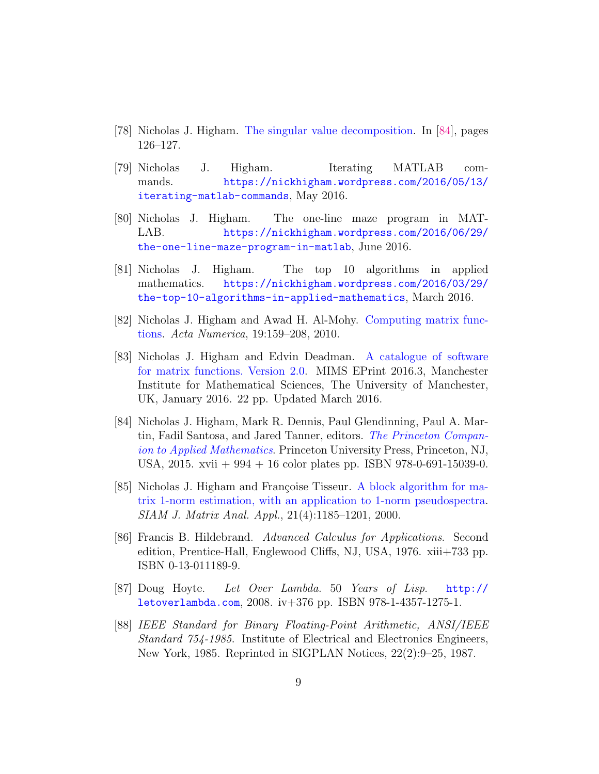- [78] Nicholas J. Higham. [The singular value decomposition.](http://press.princeton.edu/titles/10592.html) In [\[84\]](#page-8-0), pages 126–127.
- [79] Nicholas J. Higham. Iterating MATLAB commands. [https://nickhigham.wordpress.com/2016/05/13/](https://nickhigham.wordpress.com/2016/05/13/iterating-matlab-commands) [iterating-matlab-commands](https://nickhigham.wordpress.com/2016/05/13/iterating-matlab-commands), May 2016.
- [80] Nicholas J. Higham. The one-line maze program in MAT-LAB. [https://nickhigham.wordpress.com/2016/06/29/](https://nickhigham.wordpress.com/2016/06/29/the-one-line-maze-program-in-matlab) [the-one-line-maze-program-in-matlab](https://nickhigham.wordpress.com/2016/06/29/the-one-line-maze-program-in-matlab), June 2016.
- [81] Nicholas J. Higham. The top 10 algorithms in applied mathematics. [https://nickhigham.wordpress.com/2016/03/29/](https://nickhigham.wordpress.com/2016/03/29/the-top-10-algorithms-in-applied-mathematics) [the-top-10-algorithms-in-applied-mathematics](https://nickhigham.wordpress.com/2016/03/29/the-top-10-algorithms-in-applied-mathematics), March 2016.
- [82] Nicholas J. Higham and Awad H. Al-Mohy. [Computing matrix func](https://doi.org/10.1017/S0962492910000036)[tions.](https://doi.org/10.1017/S0962492910000036) Acta Numerica, 19:159–208, 2010.
- [83] Nicholas J. Higham and Edvin Deadman. [A catalogue of software](http://eprints.ma.man.ac.uk/2431) [for matrix functions. Version 2.0.](http://eprints.ma.man.ac.uk/2431) MIMS EPrint 2016.3, Manchester Institute for Mathematical Sciences, The University of Manchester, UK, January 2016. 22 pp. Updated March 2016.
- <span id="page-8-0"></span>[84] Nicholas J. Higham, Mark R. Dennis, Paul Glendinning, Paul A. Martin, Fadil Santosa, and Jared Tanner, editors. [The Princeton Compan](http://press.princeton.edu/titles/10592.html)[ion to Applied Mathematics](http://press.princeton.edu/titles/10592.html). Princeton University Press, Princeton, NJ, USA, 2015. xvii + 994 + 16 color plates pp. ISBN 978-0-691-15039-0.
- [85] Nicholas J. Higham and Françoise Tisseur. [A block algorithm for ma](https://doi.org/10.1137/S0895479899356080)[trix 1-norm estimation, with an application to 1-norm pseudospectra.](https://doi.org/10.1137/S0895479899356080) SIAM J. Matrix Anal. Appl., 21(4):1185–1201, 2000.
- [86] Francis B. Hildebrand. Advanced Calculus for Applications. Second edition, Prentice-Hall, Englewood Cliffs, NJ, USA, 1976. xiii+733 pp. ISBN 0-13-011189-9.
- [87] Doug Hoyte. Let Over Lambda. 50 Years of Lisp. [http://](http://letoverlambda.com) [letoverlambda.com](http://letoverlambda.com), 2008. iv+376 pp. ISBN 978-1-4357-1275-1.
- [88] IEEE Standard for Binary Floating-Point Arithmetic, ANSI/IEEE Standard 754-1985. Institute of Electrical and Electronics Engineers, New York, 1985. Reprinted in SIGPLAN Notices, 22(2):9–25, 1987.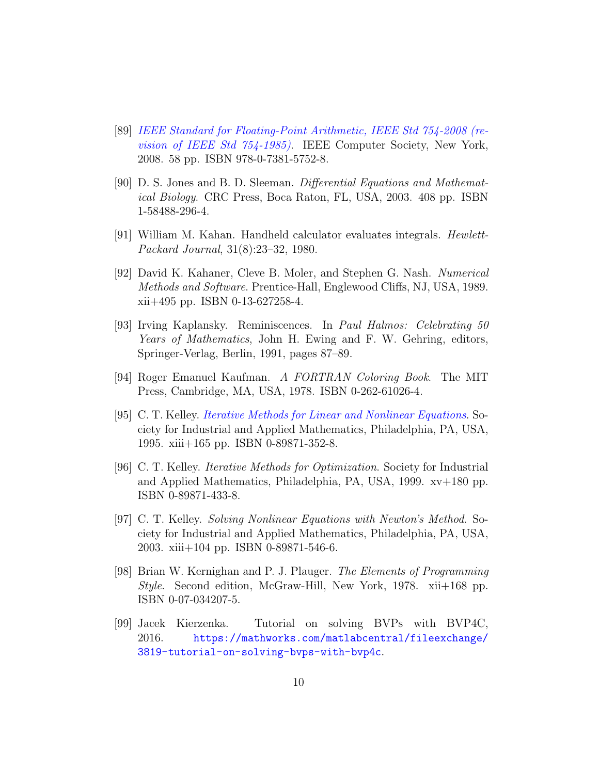- [89] [IEEE Standard for Floating-Point Arithmetic, IEEE Std 754-2008 \(re](http://dx.doi.org/10.1109/IEEESTD.2008.4610935)[vision of IEEE Std 754-1985\)](http://dx.doi.org/10.1109/IEEESTD.2008.4610935). IEEE Computer Society, New York, 2008. 58 pp. ISBN 978-0-7381-5752-8.
- [90] D. S. Jones and B. D. Sleeman. Differential Equations and Mathematical Biology. CRC Press, Boca Raton, FL, USA, 2003. 408 pp. ISBN 1-58488-296-4.
- [91] William M. Kahan. Handheld calculator evaluates integrals. Hewlett-Packard Journal, 31(8):23–32, 1980.
- [92] David K. Kahaner, Cleve B. Moler, and Stephen G. Nash. Numerical Methods and Software. Prentice-Hall, Englewood Cliffs, NJ, USA, 1989. xii+495 pp. ISBN 0-13-627258-4.
- [93] Irving Kaplansky. Reminiscences. In Paul Halmos: Celebrating 50 Years of Mathematics, John H. Ewing and F. W. Gehring, editors, Springer-Verlag, Berlin, 1991, pages 87–89.
- [94] Roger Emanuel Kaufman. A FORTRAN Coloring Book. The MIT Press, Cambridge, MA, USA, 1978. ISBN 0-262-61026-4.
- [95] C. T. Kelley. [Iterative Methods for Linear and Nonlinear Equations](http://www.siam.org/books/textbooks/fr16_book.pdf). Society for Industrial and Applied Mathematics, Philadelphia, PA, USA, 1995. xiii+165 pp. ISBN 0-89871-352-8.
- [96] C. T. Kelley. Iterative Methods for Optimization. Society for Industrial and Applied Mathematics, Philadelphia, PA, USA, 1999. xv+180 pp. ISBN 0-89871-433-8.
- [97] C. T. Kelley. Solving Nonlinear Equations with Newton's Method. Society for Industrial and Applied Mathematics, Philadelphia, PA, USA, 2003. xiii+104 pp. ISBN 0-89871-546-6.
- [98] Brian W. Kernighan and P. J. Plauger. The Elements of Programming Style. Second edition, McGraw-Hill, New York, 1978. xii+168 pp. ISBN 0-07-034207-5.
- <span id="page-9-0"></span>[99] Jacek Kierzenka. Tutorial on solving BVPs with BVP4C, 2016. [https://mathworks.com/matlabcentral/fileexchange/](https://mathworks.com/matlabcentral/fileexchange/3819-tutorial-on-solving-bvps-with-bvp4c) [3819-tutorial-on-solving-bvps-with-bvp4c](https://mathworks.com/matlabcentral/fileexchange/3819-tutorial-on-solving-bvps-with-bvp4c).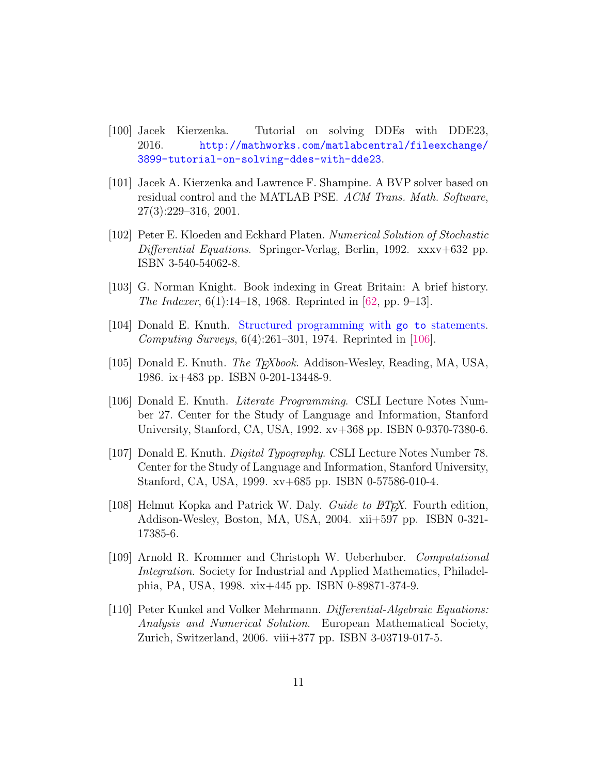- [100] Jacek Kierzenka. Tutorial on solving DDEs with DDE23, 2016. [http://mathworks.com/matlabcentral/fileexchange/](http://mathworks.com/matlabcentral/fileexchange/3899-tutorial-on-solving-ddes-with-dde23) [3899-tutorial-on-solving-ddes-with-dde23](http://mathworks.com/matlabcentral/fileexchange/3899-tutorial-on-solving-ddes-with-dde23).
- [101] Jacek A. Kierzenka and Lawrence F. Shampine. A BVP solver based on residual control and the MATLAB PSE. ACM Trans. Math. Software, 27(3):229–316, 2001.
- [102] Peter E. Kloeden and Eckhard Platen. Numerical Solution of Stochastic Differential Equations. Springer-Verlag, Berlin, 1992. xxxv+632 pp. ISBN 3-540-54062-8.
- [103] G. Norman Knight. Book indexing in Great Britain: A brief history. The Indexer, 6(1):14–18, 1968. Reprinted in [\[62,](#page-6-0) pp. 9–13].
- [104] Donald E. Knuth. [Structured programming with](https://doi.org/10.1145/356635.356640) go to statements. Computing Surveys,  $6(4):261-301$ , 1974. Reprinted in [\[106\]](#page-10-0).
- [105] Donald E. Knuth. *The T<sub>E</sub>Xbook*. Addison-Wesley, Reading, MA, USA, 1986. ix+483 pp. ISBN 0-201-13448-9.
- <span id="page-10-0"></span>[106] Donald E. Knuth. Literate Programming. CSLI Lecture Notes Number 27. Center for the Study of Language and Information, Stanford University, Stanford, CA, USA, 1992. xv+368 pp. ISBN 0-9370-7380-6.
- [107] Donald E. Knuth. Digital Typography. CSLI Lecture Notes Number 78. Center for the Study of Language and Information, Stanford University, Stanford, CA, USA, 1999. xv+685 pp. ISBN 0-57586-010-4.
- [108] Helmut Kopka and Patrick W. Daly. Guide to  $E_{T}X$ . Fourth edition, Addison-Wesley, Boston, MA, USA, 2004. xii+597 pp. ISBN 0-321- 17385-6.
- [109] Arnold R. Krommer and Christoph W. Ueberhuber. Computational Integration. Society for Industrial and Applied Mathematics, Philadelphia, PA, USA, 1998. xix+445 pp. ISBN 0-89871-374-9.
- [110] Peter Kunkel and Volker Mehrmann. Differential-Algebraic Equations: Analysis and Numerical Solution. European Mathematical Society, Zurich, Switzerland, 2006. viii+377 pp. ISBN 3-03719-017-5.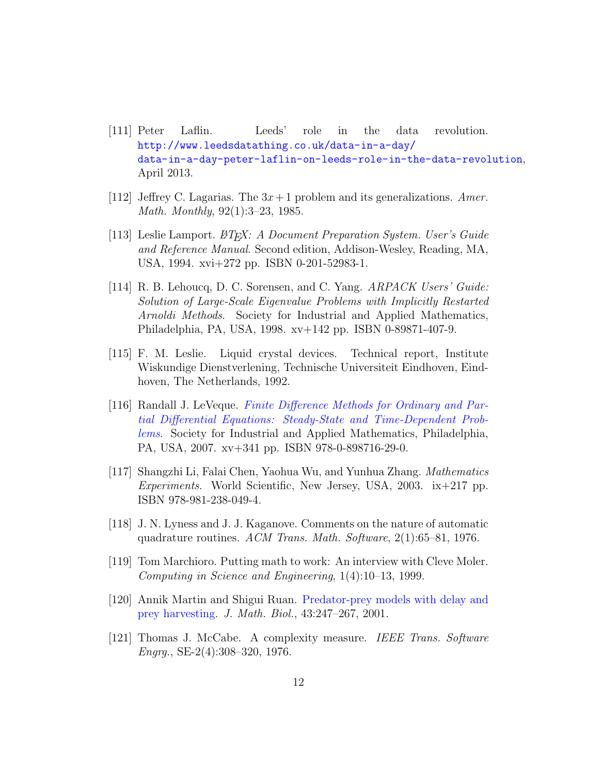- [111] Peter Laflin. Leeds' role in the data revolution. [http://www.leedsdatathing.co.uk/data-in-a-day/](http://www.leedsdatathing.co.uk/data-in-a-day/data-in-a-day-peter-laflin-on-leeds-role-in-the-data-revolution) [data-in-a-day-peter-laflin-on-leeds-role-in-the-data-revolution](http://www.leedsdatathing.co.uk/data-in-a-day/data-in-a-day-peter-laflin-on-leeds-role-in-the-data-revolution), April 2013.
- [112] Jeffrey C. Lagarias. The  $3x+1$  problem and its generalizations. Amer. Math. Monthly, 92(1):3–23, 1985.
- [113] Leslie Lamport.  $\cancel{E}T_F X: A$  Document Preparation System. User's Guide and Reference Manual. Second edition, Addison-Wesley, Reading, MA, USA, 1994. xvi+272 pp. ISBN 0-201-52983-1.
- [114] R. B. Lehoucq, D. C. Sorensen, and C. Yang. ARPACK Users' Guide: Solution of Large-Scale Eigenvalue Problems with Implicitly Restarted Arnoldi Methods. Society for Industrial and Applied Mathematics, Philadelphia, PA, USA, 1998. xv+142 pp. ISBN 0-89871-407-9.
- [115] F. M. Leslie. Liquid crystal devices. Technical report, Institute Wiskundige Dienstverlening, Technische Universiteit Eindhoven, Eindhoven, The Netherlands, 1992.
- [116] Randall J. LeVeque. [Finite Difference Methods for Ordinary and Par](http://dx.doi.org/10.1137/1.9780898717839)[tial Differential Equations: Steady-State and Time-Dependent Prob](http://dx.doi.org/10.1137/1.9780898717839)[lems](http://dx.doi.org/10.1137/1.9780898717839). Society for Industrial and Applied Mathematics, Philadelphia, PA, USA, 2007. xv+341 pp. ISBN 978-0-898716-29-0.
- [117] Shangzhi Li, Falai Chen, Yaohua Wu, and Yunhua Zhang. Mathematics Experiments. World Scientific, New Jersey, USA, 2003. ix+217 pp. ISBN 978-981-238-049-4.
- [118] J. N. Lyness and J. J. Kaganove. Comments on the nature of automatic quadrature routines. ACM Trans. Math. Software,  $2(1):65-81$ , 1976.
- [119] Tom Marchioro. Putting math to work: An interview with Cleve Moler. Computing in Science and Engineering, 1(4):10–13, 1999.
- [120] Annik Martin and Shigui Ruan. [Predator-prey models with delay and](https://doi.org/10.1007/s002850100095) [prey harvesting.](https://doi.org/10.1007/s002850100095) J. Math. Biol., 43:247–267, 2001.
- [121] Thomas J. McCabe. A complexity measure. IEEE Trans. Software Engrg., SE-2(4):308–320, 1976.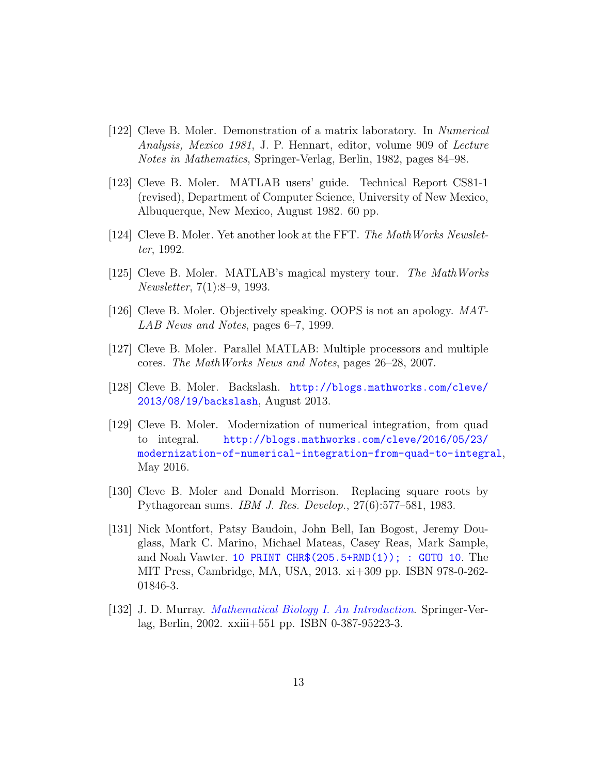- [122] Cleve B. Moler. Demonstration of a matrix laboratory. In Numerical Analysis, Mexico 1981, J. P. Hennart, editor, volume 909 of Lecture Notes in Mathematics, Springer-Verlag, Berlin, 1982, pages 84–98.
- [123] Cleve B. Moler. MATLAB users' guide. Technical Report CS81-1 (revised), Department of Computer Science, University of New Mexico, Albuquerque, New Mexico, August 1982. 60 pp.
- [124] Cleve B. Moler. Yet another look at the FFT. The MathWorks Newsletter, 1992.
- [125] Cleve B. Moler. MATLAB's magical mystery tour. The MathWorks Newsletter, 7(1):8–9, 1993.
- [126] Cleve B. Moler. Objectively speaking. OOPS is not an apology. MAT-LAB News and Notes, pages 6–7, 1999.
- [127] Cleve B. Moler. Parallel MATLAB: Multiple processors and multiple cores. The MathWorks News and Notes, pages 26–28, 2007.
- [128] Cleve B. Moler. Backslash. [http://blogs.mathworks.com/cleve/](http://blogs.mathworks.com/cleve/2013/08/19/backslash) [2013/08/19/backslash](http://blogs.mathworks.com/cleve/2013/08/19/backslash), August 2013.
- [129] Cleve B. Moler. Modernization of numerical integration, from quad to integral. [http://blogs.mathworks.com/cleve/2016/05/23/](http://blogs.mathworks.com/cleve/2016/05/23/modernization-of-numerical-integration-from-quad-to-integral) [modernization-of-numerical-integration-from-quad-to-integral](http://blogs.mathworks.com/cleve/2016/05/23/modernization-of-numerical-integration-from-quad-to-integral), May 2016.
- [130] Cleve B. Moler and Donald Morrison. Replacing square roots by Pythagorean sums. IBM J. Res. Develop., 27(6):577–581, 1983.
- [131] Nick Montfort, Patsy Baudoin, John Bell, Ian Bogost, Jeremy Douglass, Mark C. Marino, Michael Mateas, Casey Reas, Mark Sample, and Noah Vawter. [10 PRINT CHR\\$\(205.5+RND\(1\)\); : GOTO 10](https://mitpress.mit.edu/books/10-print-chr2055rnd1-goto-10). The MIT Press, Cambridge, MA, USA, 2013. xi+309 pp. ISBN 978-0-262- 01846-3.
- [132] J. D. Murray. [Mathematical Biology I. An Introduction](http://dx.doi.org/10.1007/b98868). Springer-Verlag, Berlin, 2002. xxiii+551 pp. ISBN 0-387-95223-3.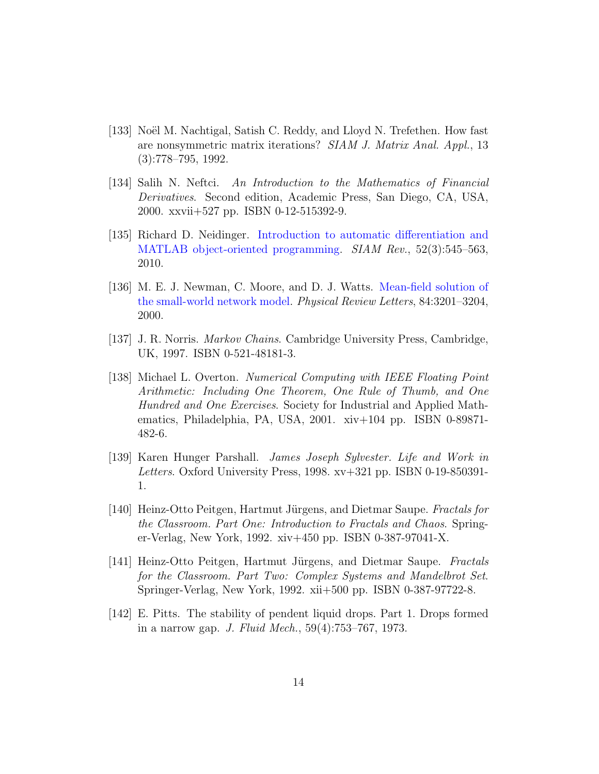- [133] Noël M. Nachtigal, Satish C. Reddy, and Lloyd N. Trefethen. How fast are nonsymmetric matrix iterations? SIAM J. Matrix Anal. Appl., 13 (3):778–795, 1992.
- [134] Salih N. Neftci. An Introduction to the Mathematics of Financial Derivatives. Second edition, Academic Press, San Diego, CA, USA, 2000. xxvii+527 pp. ISBN 0-12-515392-9.
- [135] Richard D. Neidinger. [Introduction to automatic differentiation and](https://doi.org/10.1137/080743627) [MATLAB object-oriented programming.](https://doi.org/10.1137/080743627) SIAM Rev., 52(3):545–563, 2010.
- [136] M. E. J. Newman, C. Moore, and D. J. Watts. [Mean-field solution of](https://doi.org/10.1103/PhysRevLett.84.3201) [the small-world network model.](https://doi.org/10.1103/PhysRevLett.84.3201) Physical Review Letters, 84:3201–3204, 2000.
- [137] J. R. Norris. Markov Chains. Cambridge University Press, Cambridge, UK, 1997. ISBN 0-521-48181-3.
- [138] Michael L. Overton. Numerical Computing with IEEE Floating Point Arithmetic: Including One Theorem, One Rule of Thumb, and One Hundred and One Exercises. Society for Industrial and Applied Mathematics, Philadelphia, PA, USA, 2001. xiv+104 pp. ISBN 0-89871- 482-6.
- [139] Karen Hunger Parshall. James Joseph Sylvester. Life and Work in Letters. Oxford University Press, 1998. xv+321 pp. ISBN 0-19-850391- 1.
- [140] Heinz-Otto Peitgen, Hartmut Jürgens, and Dietmar Saupe. Fractals for the Classroom. Part One: Introduction to Fractals and Chaos. Springer-Verlag, New York, 1992. xiv+450 pp. ISBN 0-387-97041-X.
- [141] Heinz-Otto Peitgen, Hartmut Jürgens, and Dietmar Saupe. Fractals for the Classroom. Part Two: Complex Systems and Mandelbrot Set. Springer-Verlag, New York, 1992. xii+500 pp. ISBN 0-387-97722-8.
- [142] E. Pitts. The stability of pendent liquid drops. Part 1. Drops formed in a narrow gap. J. Fluid Mech., 59(4):753–767, 1973.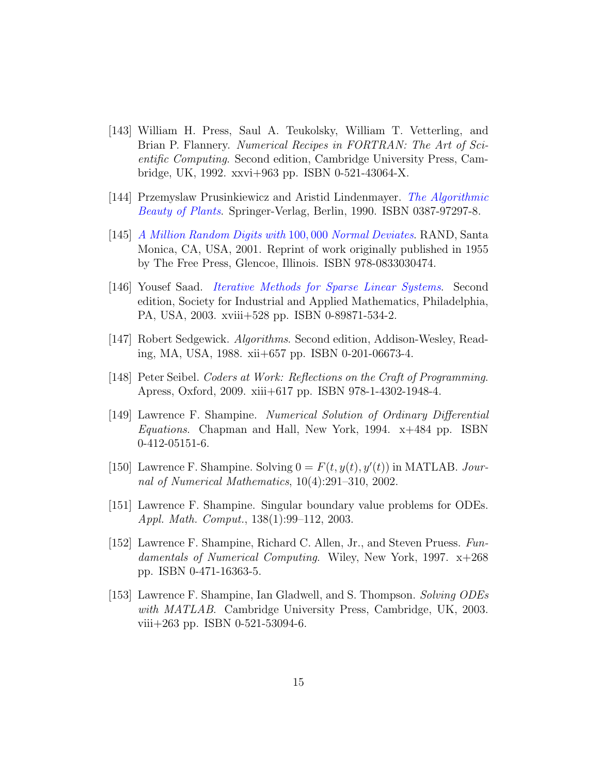- [143] William H. Press, Saul A. Teukolsky, William T. Vetterling, and Brian P. Flannery. Numerical Recipes in FORTRAN: The Art of Scientific Computing. Second edition, Cambridge University Press, Cambridge, UK, 1992. xxvi+963 pp. ISBN 0-521-43064-X.
- [144] Przemyslaw Prusinkiewicz and Aristid Lindenmayer. [The Algorithmic](http://dx.doi.org/10.1007/978-1-4613-8476-2) [Beauty of Plants](http://dx.doi.org/10.1007/978-1-4613-8476-2). Springer-Verlag, Berlin, 1990. ISBN 0387-97297-8.
- [145] [A Million Random Digits with](http://www.rand.org/pubs/monograph_reports/MR1418.html) 100, 000 Normal Deviates. RAND, Santa Monica, CA, USA, 2001. Reprint of work originally published in 1955 by The Free Press, Glencoe, Illinois. ISBN 978-0833030474.
- [146] Yousef Saad. [Iterative Methods for Sparse Linear Systems](http://dx.doi.org/10.1137/1.9780898718003). Second edition, Society for Industrial and Applied Mathematics, Philadelphia, PA, USA, 2003. xviii+528 pp. ISBN 0-89871-534-2.
- [147] Robert Sedgewick. Algorithms. Second edition, Addison-Wesley, Reading, MA, USA, 1988. xii+657 pp. ISBN 0-201-06673-4.
- [148] Peter Seibel. Coders at Work: Reflections on the Craft of Programming. Apress, Oxford, 2009. xiii+617 pp. ISBN 978-1-4302-1948-4.
- [149] Lawrence F. Shampine. Numerical Solution of Ordinary Differential Equations. Chapman and Hall, New York, 1994. x+484 pp. ISBN 0-412-05151-6.
- [150] Lawrence F. Shampine. Solving  $0 = F(t, y(t), y'(t))$  in MATLAB. Journal of Numerical Mathematics, 10(4):291–310, 2002.
- [151] Lawrence F. Shampine. Singular boundary value problems for ODEs. Appl. Math. Comput., 138(1):99–112, 2003.
- [152] Lawrence F. Shampine, Richard C. Allen, Jr., and Steven Pruess. Fundamentals of Numerical Computing. Wiley, New York, 1997. x+268 pp. ISBN 0-471-16363-5.
- [153] Lawrence F. Shampine, Ian Gladwell, and S. Thompson. Solving ODEs with MATLAB. Cambridge University Press, Cambridge, UK, 2003. viii+263 pp. ISBN 0-521-53094-6.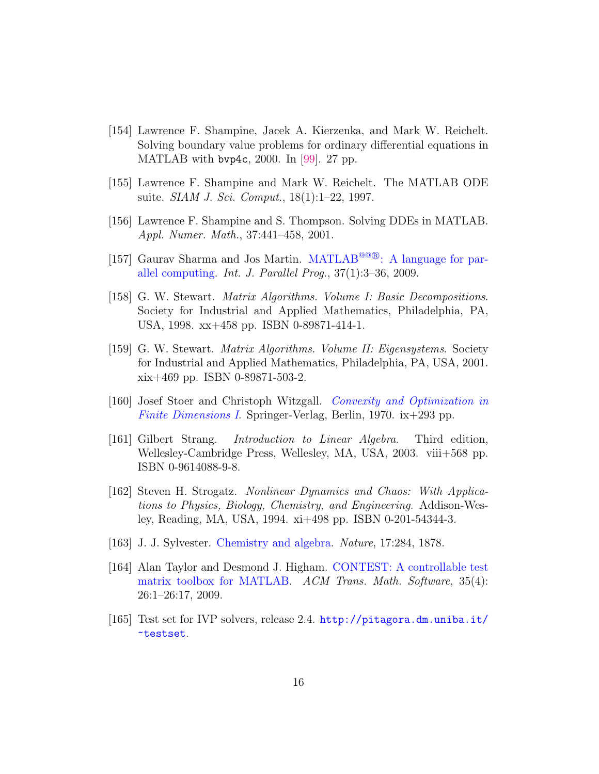- [154] Lawrence F. Shampine, Jacek A. Kierzenka, and Mark W. Reichelt. Solving boundary value problems for ordinary differential equations in MATLAB with bvp4c, 2000. In [\[99\]](#page-9-0). 27 pp.
- [155] Lawrence F. Shampine and Mark W. Reichelt. The MATLAB ODE suite. *SIAM J. Sci. Comput.*, 18(1):1–22, 1997.
- [156] Lawrence F. Shampine and S. Thompson. Solving DDEs in MATLAB. Appl. Numer. Math., 37:441–458, 2001.
- [157] Gaurav Sharma and Jos Martin. MATLAB<sup>@@</sup>®[: A language for par](https://doi.org/10.1007/s10766-008-0082-5)[allel computing.](https://doi.org/10.1007/s10766-008-0082-5) Int. J. Parallel Prog.,  $37(1):3-36$ , 2009.
- [158] G. W. Stewart. Matrix Algorithms. Volume I: Basic Decompositions. Society for Industrial and Applied Mathematics, Philadelphia, PA, USA, 1998. xx+458 pp. ISBN 0-89871-414-1.
- [159] G. W. Stewart. Matrix Algorithms. Volume II: Eigensystems. Society for Industrial and Applied Mathematics, Philadelphia, PA, USA, 2001. xix+469 pp. ISBN 0-89871-503-2.
- [160] Josef Stoer and Christoph Witzgall. [Convexity and Optimization in](http://dx.doi.org/10.1007/978-3-642-46216-0) [Finite Dimensions I](http://dx.doi.org/10.1007/978-3-642-46216-0). Springer-Verlag, Berlin, 1970. ix+293 pp.
- [161] Gilbert Strang. Introduction to Linear Algebra. Third edition, Wellesley-Cambridge Press, Wellesley, MA, USA, 2003. viii+568 pp. ISBN 0-9614088-9-8.
- [162] Steven H. Strogatz. Nonlinear Dynamics and Chaos: With Applications to Physics, Biology, Chemistry, and Engineering. Addison-Wesley, Reading, MA, USA, 1994. xi+498 pp. ISBN 0-201-54344-3.
- [163] J. J. Sylvester. [Chemistry and algebra.](https://doi.org/10.1038/017284a0) Nature, 17:284, 1878.
- [164] Alan Taylor and Desmond J. Higham. [CONTEST: A controllable test](https://doi.org/10.1145/1462173.1462175) [matrix toolbox for MATLAB.](https://doi.org/10.1145/1462173.1462175) ACM Trans. Math. Software, 35(4): 26:1–26:17, 2009.
- [165] Test set for IVP solvers, release 2.4. [http://pitagora.dm.uniba.it/](http://pitagora.dm.uniba.it/~testset) [~testset](http://pitagora.dm.uniba.it/~testset).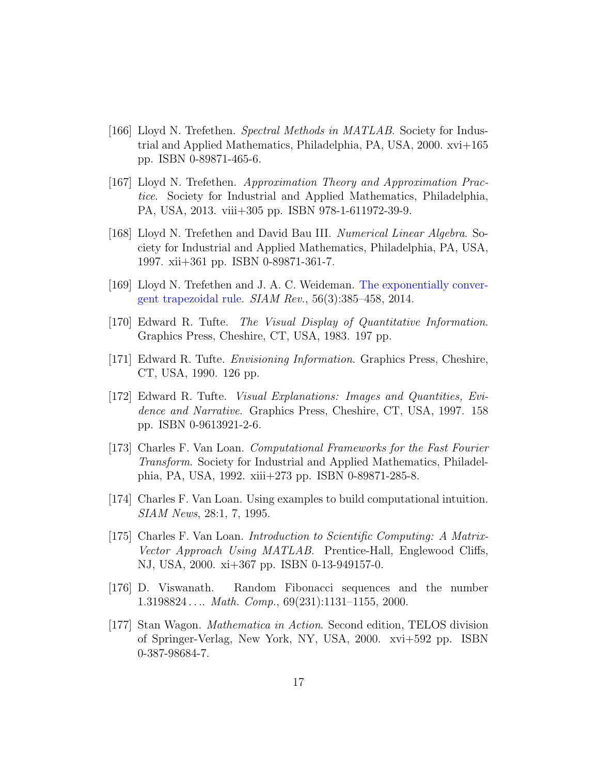- [166] Lloyd N. Trefethen. Spectral Methods in MATLAB. Society for Industrial and Applied Mathematics, Philadelphia, PA, USA, 2000. xvi+165 pp. ISBN 0-89871-465-6.
- [167] Lloyd N. Trefethen. Approximation Theory and Approximation Practice. Society for Industrial and Applied Mathematics, Philadelphia, PA, USA, 2013. viii+305 pp. ISBN 978-1-611972-39-9.
- [168] Lloyd N. Trefethen and David Bau III. Numerical Linear Algebra. Society for Industrial and Applied Mathematics, Philadelphia, PA, USA, 1997. xii+361 pp. ISBN 0-89871-361-7.
- [169] Lloyd N. Trefethen and J. A. C. Weideman. [The exponentially conver](https://doi.org/10.1137/130932132)[gent trapezoidal rule.](https://doi.org/10.1137/130932132)  $SIAM$   $Rev.$ ,  $56(3):385-458$ ,  $2014$ .
- [170] Edward R. Tufte. The Visual Display of Quantitative Information. Graphics Press, Cheshire, CT, USA, 1983. 197 pp.
- [171] Edward R. Tufte. Envisioning Information. Graphics Press, Cheshire, CT, USA, 1990. 126 pp.
- [172] Edward R. Tufte. Visual Explanations: Images and Quantities, Evidence and Narrative. Graphics Press, Cheshire, CT, USA, 1997. 158 pp. ISBN 0-9613921-2-6.
- [173] Charles F. Van Loan. Computational Frameworks for the Fast Fourier Transform. Society for Industrial and Applied Mathematics, Philadelphia, PA, USA, 1992. xiii+273 pp. ISBN 0-89871-285-8.
- [174] Charles F. Van Loan. Using examples to build computational intuition. SIAM News, 28:1, 7, 1995.
- [175] Charles F. Van Loan. Introduction to Scientific Computing: A Matrix-Vector Approach Using MATLAB. Prentice-Hall, Englewood Cliffs, NJ, USA, 2000. xi+367 pp. ISBN 0-13-949157-0.
- [176] D. Viswanath. Random Fibonacci sequences and the number 1.3198824 . . . . Math. Comp.,  $69(231):1131-1155$ , 2000.
- [177] Stan Wagon. Mathematica in Action. Second edition, TELOS division of Springer-Verlag, New York, NY, USA, 2000. xvi+592 pp. ISBN 0-387-98684-7.